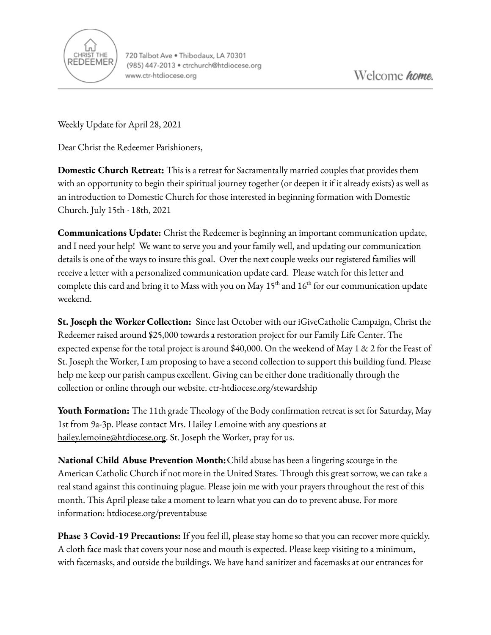

Weekly Update for April 28, 2021

Dear Christ the Redeemer Parishioners,

**Domestic Church Retreat:** This is a retreat for Sacramentally married couples that provides them with an opportunity to begin their spiritual journey together (or deepen it if it already exists) as well as an introduction to Domestic Church for those interested in beginning formation with Domestic Church. July 15th - 18th, 2021

**Communications Update:** Christ the Redeemer is beginning an important communication update, and I need your help! We want to serve you and your family well, and updating our communication details is one of the ways to insure this goal. Over the next couple weeks our registered families will receive a letter with a personalized communication update card. Please watch for this letter and complete this card and bring it to Mass with you on May 15<sup>th</sup> and 16<sup>th</sup> for our communication update weekend.

**St. Joseph the Worker Collection:** Since last October with our iGiveCatholic Campaign, Christ the Redeemer raised around \$25,000 towards a restoration project for our Family Life Center. The expected expense for the total project is around \$40,000. On the weekend of May 1 & 2 for the Feast of St. Joseph the Worker, I am proposing to have a second collection to support this building fund. Please help me keep our parish campus excellent. Giving can be either done traditionally through the collection or online through our website. ctr-htdiocese.org/stewardship

**Youth Formation:** The 11th grade Theology of the Body confirmation retreat is set for Saturday, May 1st from 9a-3p. Please contact Mrs. Hailey Lemoine with any questions at [hailey.lemoine@htdiocese.org.](mailto:hailey.lemoine@htdiocese.org) St. Joseph the Worker, pray for us.

**National Child Abuse Prevention Month:**Child abuse has been a lingering scourge in the American Catholic Church if not more in the United States. Through this great sorrow, we can take a real stand against this continuing plague. Please join me with your prayers throughout the rest of this month. This April please take a moment to learn what you can do to prevent abuse. For more information: htdiocese.org/preventabuse

**Phase 3 Covid-19 Precautions:** If you feel ill, please stay home so that you can recover more quickly. A cloth face mask that covers your nose and mouth is expected. Please keep visiting to a minimum, with facemasks, and outside the buildings. We have hand sanitizer and facemasks at our entrances for